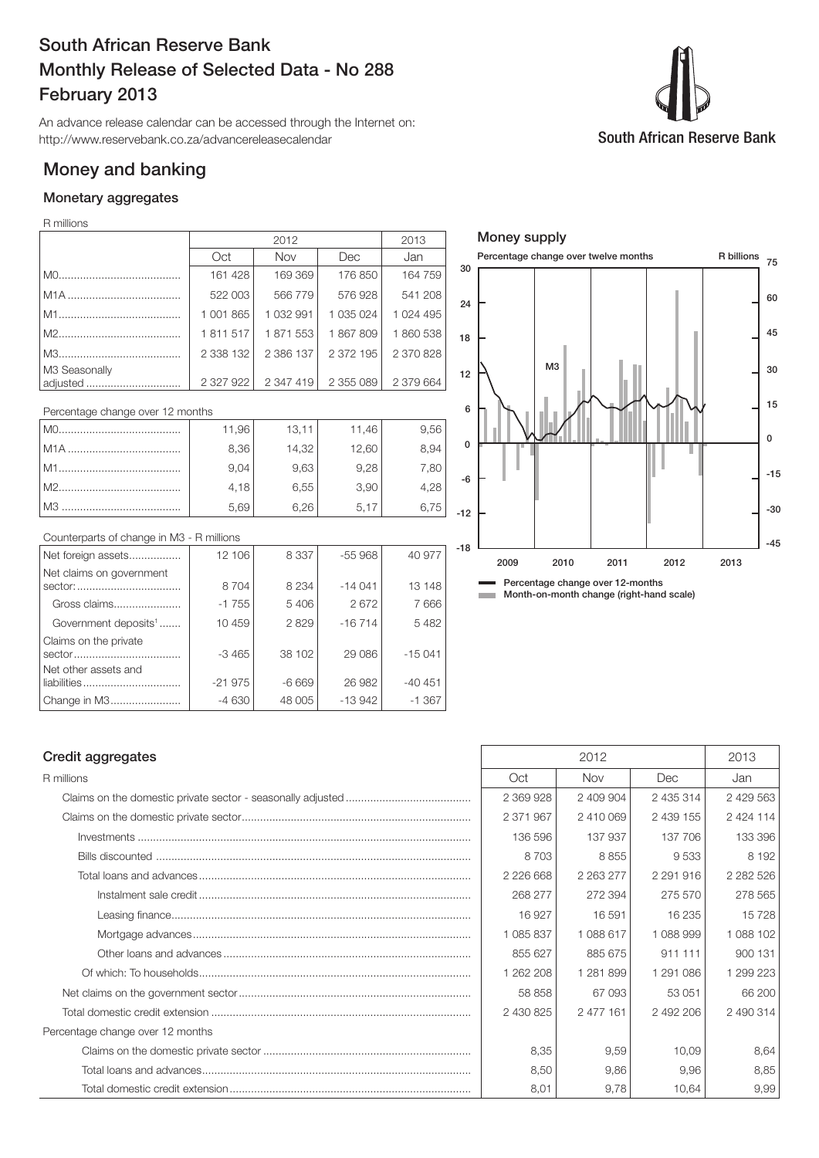# South African Reserve Bank Monthly Release of Selected Data - No 288 February 2013

An advance release calendar can be accessed through the Internet on: http://www.reservebank.co.za/advancereleasecalendar

# Money and banking

# Monetary aggregates

## R millions

|                           |           | 2013      |               |           |
|---------------------------|-----------|-----------|---------------|-----------|
|                           | Oct       | Nov       | Dec           | Jan       |
|                           | 161 428   | 169 369   | 176 850       | 164 759   |
|                           | 522 003   | 566779    | 576928        | 541 208   |
|                           | 1 001 865 | 1 032 991 | 1 0 3 5 0 2 4 | 1 024 495 |
|                           | 1811517   | 1871553   | 1867809       | 1860538   |
|                           | 2 338 132 | 2 386 137 | 2 372 195     | 2 370 828 |
| M3 Seasonally<br>adjusted | 2 327 922 | 2 347 419 | 2 355 089     | 2 379 664 |

#### Percentage change over 12 months

| MO.   | 11,96 | 13,11 | 11,46 | 9,56 |
|-------|-------|-------|-------|------|
|       | 8,36  | 14,32 | 12,60 | 8,94 |
| l M1. | 9.04  | 9,63  | 9,28  | 7,80 |
| M2.   | 4,18  | 6,55  | 3,90  | 4,28 |
|       | 5,69  | 6.26  | 5.17  | 6.75 |

### Counterparts of change in M3 - R millions

| Net foreign assets                  | 12 106   | 8 3 3 7 | $-55968$ | 40 977   |
|-------------------------------------|----------|---------|----------|----------|
| Net claims on government            | 8704     | 8 2 3 4 | $-14041$ | 13 148   |
| Gross claims                        | $-1755$  | 5406    | 2672     | 7666     |
| Government deposits <sup>1</sup>    | 10 459   | 2829    | $-16714$ | 5482     |
| Claims on the private               | $-3465$  | 38 102  | 29 0 86  | $-15041$ |
| Net other assets and<br>liabilities | $-21975$ | $-6669$ | 26 982   | $-40451$ |
| Change in M3                        | $-4630$  | 48 005  | $-13942$ | $-1.367$ |



## Credit aggregates 2013

| R millions                       | Oct       | <b>Nov</b>    | <b>Dec</b>    | Jan           |
|----------------------------------|-----------|---------------|---------------|---------------|
|                                  | 2 369 928 | 2 409 904     | 2 435 314     | 2 429 563     |
|                                  | 2 371 967 | 2410069       | 2 439 155     | 2 4 2 4 1 1 4 |
|                                  | 136 596   | 137 937       | 137 706       | 133 396       |
|                                  | 8703      | 8855          | 9533          | 8 1 9 2       |
|                                  | 2 226 668 | 2 2 6 3 2 7 7 | 2 2 9 1 9 1 6 | 2 2 8 2 5 2 6 |
|                                  | 268 277   | 272 394       | 275 570       | 278 565       |
|                                  | 16927     | 16 591        | 16 235        | 15 728        |
|                                  | 1 085 837 | 1088617       | 1 088 999     | 1 088 102     |
|                                  | 855 627   | 885 675       | 911 111       | 900 131       |
|                                  | 1 262 208 | 1 281 899     | 1 291 086     | 1 299 223     |
|                                  | 58 858    | 67 093        | 53 051        | 66 200        |
|                                  | 2 430 825 | 2 477 161     | 2 492 206     | 2 490 314     |
| Percentage change over 12 months |           |               |               |               |
|                                  | 8,35      | 9,59          | 10,09         | 8,64          |
|                                  | 8,50      | 9,86          | 9,96          | 8,85          |
|                                  | 8,01      | 9,78          | 10,64         | 9,99          |

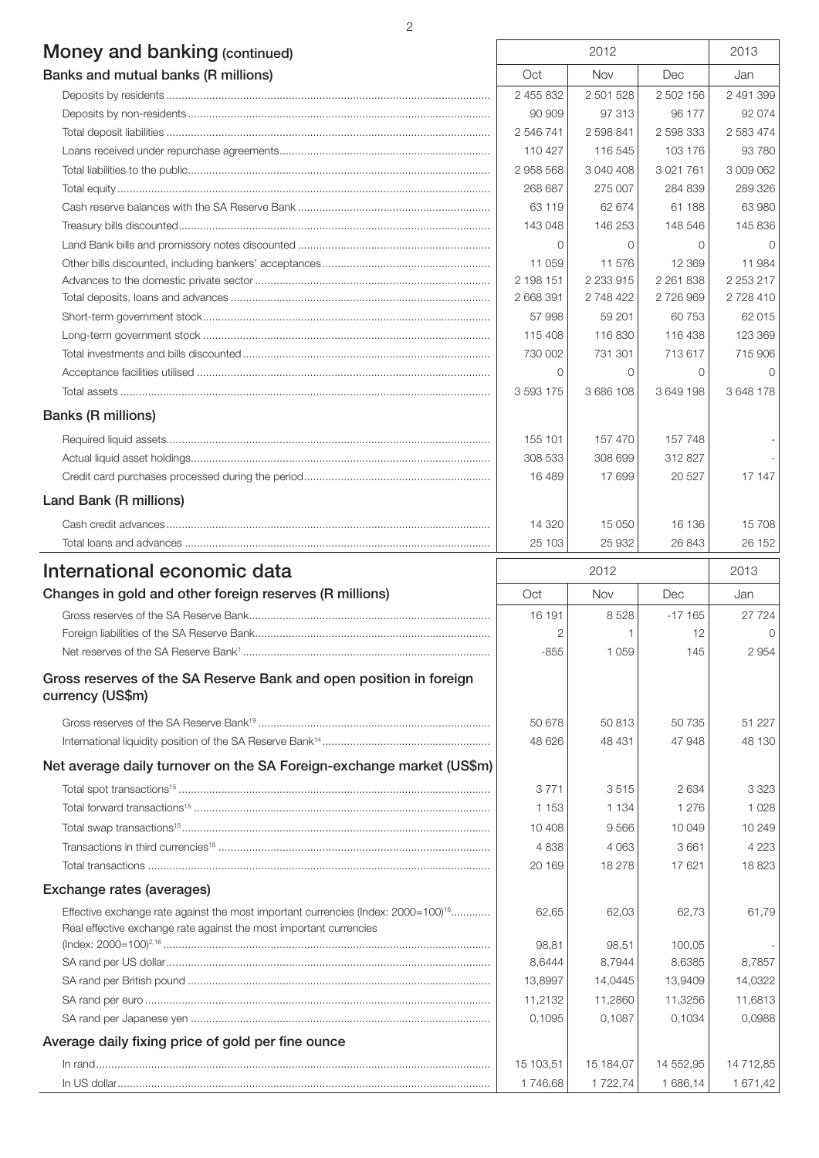| Money and banking (continued)<br>Banks and mutual banks (R millions)                   |                | 2012       |               |           |
|----------------------------------------------------------------------------------------|----------------|------------|---------------|-----------|
|                                                                                        |                | Nov        | Dec           | Jan       |
|                                                                                        | 2 455 832      | 2 501 528  | 2 502 156     | 2 491 399 |
|                                                                                        | 90 909         | 97 313     | 96 177        | 92 074    |
|                                                                                        | 2 546 741      | 2 598 841  | 2 598 333     | 2 583 474 |
|                                                                                        | 110 427        | 116 545    | 103 176       | 93 780    |
|                                                                                        | 2958568        | 3 040 408  | 3 0 21 7 61   | 3 009 062 |
|                                                                                        | 268 687        | 275 007    | 284 839       | 289 326   |
|                                                                                        | 63 119         | 62 674     | 61 188        | 63 980    |
|                                                                                        | 143 048        | 146 253    | 148 546       | 145 836   |
|                                                                                        | $\Omega$       | $\Omega$   | $\Omega$      | 0         |
|                                                                                        | 11 059         | 11 576     | 12 3 69       | 11 984    |
|                                                                                        | 2 198 151      | 2 233 915  | 2 2 6 1 8 3 8 | 2 253 217 |
|                                                                                        | 2 668 391      | 2 748 422  | 2726969       | 2728410   |
|                                                                                        | 57 998         | 59 201     | 60 753        | 62 015    |
|                                                                                        | 115 408        | 116830     | 116 438       | 123 369   |
|                                                                                        | 730 002        | 731 301    | 713 617       | 715 906   |
|                                                                                        | $\circ$        | $\circ$    | $\mathbf{0}$  | $\bigcap$ |
|                                                                                        | 3 593 175      | 3 686 108  | 3 649 198     | 3 648 178 |
| <b>Banks (R millions)</b>                                                              |                |            |               |           |
|                                                                                        | 155 101        | 157 470    | 157 748       |           |
|                                                                                        | 308 533        | 308 699    | 312827        |           |
|                                                                                        | 16489          | 17 699     | 20 5 27       | 17 147    |
| Land Bank (R millions)                                                                 |                |            |               |           |
|                                                                                        | 14 3 20        | 15 050     | 16 136        | 15 708    |
|                                                                                        | 25 103         | 25 932     | 26 843        | 26 152    |
| International economic data                                                            |                | 2012       |               | 2013      |
| Changes in gold and other foreign reserves (R millions)                                | Oct            | <b>Nov</b> | Dec           | Jan       |
|                                                                                        | 16 191         | 8528       | $-17165$      | 27 724    |
|                                                                                        | $\overline{2}$ | 1          | 12            | O         |
|                                                                                        | $-855$         | 1 0 5 9    | 145           | 2954      |
| Gross reserves of the SA Reserve Bank and open position in foreign<br>currency (US\$m) |                |            |               |           |

Gross reserves of the SA Reserve Bank19 ............................................................................ 50 678 50 813 50 735 51 227 International liquidity position of the SA Reserve Bank14 ....................................................... 48 626 48 431 47 948 48 130

In rand................................................................................................................................. 15 103,51 15 184,07 14 552,95 14 712,85 In US dollar.......................................................................................................................... 1 746,68 1 722,74 1 686,14 1 671,42

Net average daily turnover on the SA Foreign-exchange market (US\$m)  $\text{Total spot transactions}^{15}$   $\ldots$   $\ldots$   $\ldots$   $\ldots$   $\ldots$   $\ldots$   $\ldots$   $\ldots$   $\ldots$   $\ldots$   $\ldots$   $\ldots$   $\ldots$   $\ldots$   $\ldots$   $\ldots$   $\ldots$   $\ldots$   $\ldots$   $\ldots$   $\ldots$   $\ldots$   $\ldots$   $\ldots$   $\ldots$   $\ldots$   $\ldots$   $\ldots$   $\ldots$   $\ldots$   $\ldots$   $\ldots$   $\ldots$   $\ldots$   $\ld$ Total forward transactions15 ................................................................................................. 1 153 1 134 1 276 1 028 Total swap transactions15..................................................................................................... 10 408 9 566 10 049 10 249 Transactions in third currencies18 ......................................................................................... 4 838 4 063 3 661 4 223 Total transactions ................................................................................................................ 20 169 18 278 17 621 18 823 Exchange rates (averages) Effective exchange rate against the most important currencies (Index:  $2000=100$ <sup>16</sup>................ 62,65 62,03 62,73 62,73 61,79 Real effective exchange rate against the most important currencies (Index: 2000=100)2,16 ........................................................................................................... 98,81 98,51 100,05 - SA rand per US dollar.......................................................................................................... 8,6444 8,7944 8,6385 8,7857 SA rand per British pound ................................................................................................... 13,8997 14,0445 13,9409 14,0322 SA rand per euro ................................................................................................................. 11,2132 11,2860 11,3256 11,6813 SA rand per Japanese yen .................................................................................................. 0,1095 0,1087 0,1034 0,0988 Average daily fixing price of gold per fine ounce

 $\overline{2}$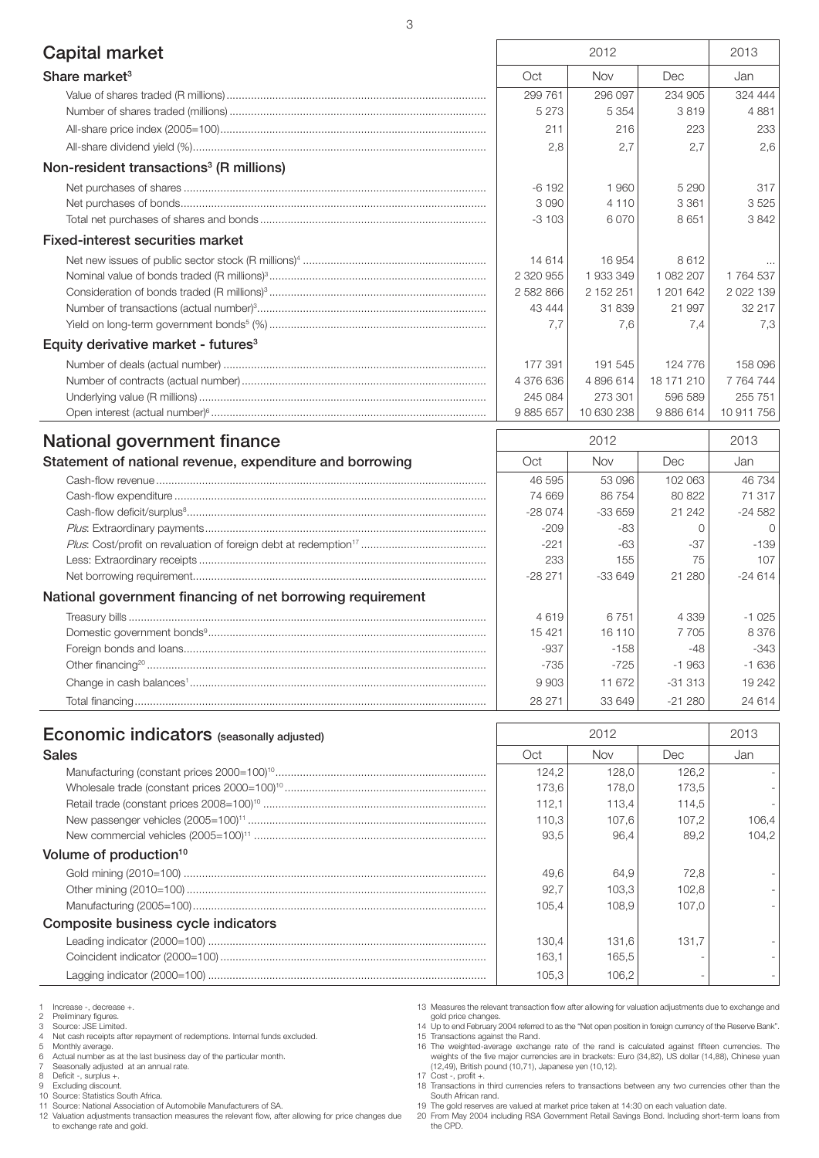| Capital market                                           |           | 2012       |            | 2013          |
|----------------------------------------------------------|-----------|------------|------------|---------------|
| Share market <sup>3</sup>                                | Oct       | Nov        | Dec        | Jan           |
|                                                          | 299 761   | 296 097    | 234 905    | 324 444       |
|                                                          | 5 2 7 3   | 5 3 5 4    | 3819       | 4881          |
|                                                          | 211       | 216        | 223        | 233           |
|                                                          | 2,8       | 2,7        | 2,7        | 2,6           |
| Non-resident transactions <sup>3</sup> (R millions)      |           |            |            |               |
|                                                          | $-6192$   | 1960       | 5 2 9 0    | 317           |
|                                                          | 3090      | 4 1 1 0    | 3 3 6 1    | 3525          |
|                                                          | $-3103$   | 6070       | 8651       | 3842          |
| <b>Fixed-interest securities market</b>                  |           |            |            |               |
|                                                          | 14 6 14   | 16 954     | 8612       |               |
|                                                          | 2 320 955 | 1933349    | 1 082 207  | 1764537       |
|                                                          | 2 582 866 | 2 152 251  | 1 201 642  | 2 0 2 1 1 3 9 |
|                                                          | 43 444    | 31 839     | 21 997     | 32 217        |
|                                                          | 7.7       | 7.6        | 7.4        | 7,3           |
| Equity derivative market - futures <sup>3</sup>          |           |            |            |               |
|                                                          | 177 391   | 191 545    | 124 776    | 158 096       |
|                                                          | 4 376 636 | 4896614    | 18 171 210 | 7 7 64 7 44   |
|                                                          | 245 084   | 273 301    | 596 589    | 255 751       |
|                                                          | 9 885 657 | 10 630 238 | 9886614    | 10 911 756    |
| National government finance                              |           | 2012       |            | 2013          |
| Statement of national revenue, expenditure and borrowing | Oct       | Nov        | Dec        | Jan           |
|                                                          | 46 595    | 53 096     | 102 063    | 46734         |
|                                                          | 74 669    | 86 754     | 80 822     | 71 317        |
|                                                          | $-28074$  | $-33659$   | 21 24 2    | $-24582$      |
|                                                          | $-209$    | -83        | $\Omega$   | $\Omega$      |
|                                                          | $-221$    | $-63$      | $-37$      | $-139$        |
|                                                          | 233       | 155        | 75         | 107           |
|                                                          | $-28271$  | $-33649$   | 21 280     | $-24614$      |

### National government financing of net borrowing requirement

| lational government financing of het borrowing requirement |        |         |           |         |
|------------------------------------------------------------|--------|---------|-----------|---------|
|                                                            | 4619   | 6751    | 4 3 3 9   | $-1025$ |
|                                                            | 15421  | 16 110  | 7 7 0 5   | 8376    |
|                                                            | $-937$ | $-158$  | $-48$     | $-343$  |
|                                                            | $-735$ | $-725'$ | $-1.963$  | $-1636$ |
|                                                            | 9903   | 11 672  | $-31.313$ | 19 242  |
|                                                            | 28 271 | 33 649  | $-21280$  | 24 614  |

| <b>Economic indicators</b> (seasonally adjusted) |       | 2012       |       | 2013  |
|--------------------------------------------------|-------|------------|-------|-------|
| <b>Sales</b>                                     | Oct   | <b>Nov</b> | Dec   | Jan   |
|                                                  | 124,2 | 128.0      | 126,2 |       |
|                                                  | 173.6 | 178,0      | 173,5 |       |
|                                                  | 112.1 | 113.4      | 114,5 |       |
|                                                  | 110,3 | 107,6      | 107.2 | 106,4 |
|                                                  | 93.5  | 96.4       | 89.2  | 104.2 |
| Volume of production <sup>10</sup>               |       |            |       |       |
|                                                  | 49.6  | 64.9       | 72.8  |       |
|                                                  | 92.7  | 103.3      | 102,8 |       |
|                                                  | 105.4 | 108.9      | 107.0 |       |
| Composite business cycle indicators              |       |            |       |       |
|                                                  | 130.4 | 131,6      | 131.7 |       |
|                                                  | 163.1 | 165.5      |       |       |
|                                                  | 105,3 | 106.2      |       |       |

Increase -, decrease +. 1 Increase -, decreas<br>
2 Preliminary figures.<br>
3 Source: JSE Limite<br>
4 Net cash receipts a

Source: JSE Limited.

4 Net cash receipts after repayment of redemptions. Internal funds excluded.<br>5 Monthly average.

5 Monthly average. 6 Actual number as at the last business day of the particular month. 7 Seasonally adjusted at an annual rate.

8 Deficit -, surplus +. 9 Excluding discount. 10 Source: Statistics South Africa. 11 Source: National Association of Automobile Manufacturers of SA.

12 Valuation adjustments transaction measures the relevant flow, after allowing for price changes due to exchange rate and gold.

13 Measures the relevant transaction flow after allowing for valuation adjustments due to exchange and gold price changes. 14 Up to end February 2004 referred to as the "Net open position in foreign currency of the Reserve Bank".

15 Transactions against the Rand.<br>16 The weighted-average exchange rate of the rand is calculated against fifteen currencies. The<br>weights of the five major currencies are in brackets: Euro (34,82), US dollar (14,88), Chine

17 Cost -, profit +. 18 Transactions in third currencies refers to transactions between any two currencies other than the

South African rand. 19 The gold reserves are valued at market price taken at 14:30 on each valuation date. 20 From May 2004 including RSA Government Retail Savings Bond. Including short-term loans from the CPD.